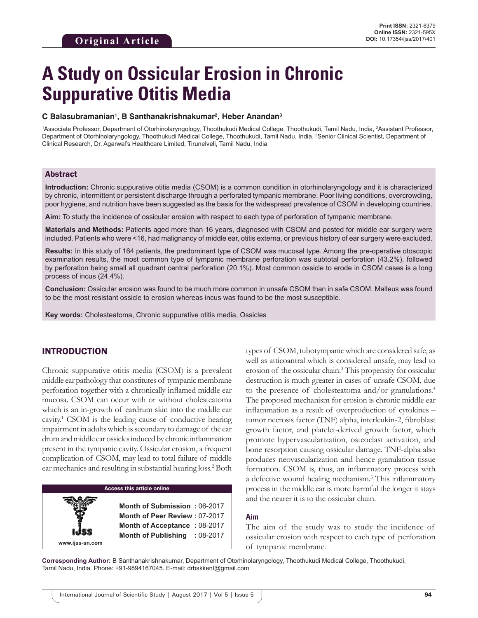# **A Study on Ossicular Erosion in Chronic Suppurative Otitis Media**

## **C Balasubramanian1 , B Santhanakrishnakumar2 , Heber Anandan3**

1Associate Professor, Department of Otorhinolaryngology, Thoothukudi Medical College, Thoothukudi, Tamil Nadu, India, 2Assistant Professor, Department of Otorhinolaryngology, Thoothukudi Medical College, Thoothukudi, Tamil Nadu, India, <sup>3</sup>Senior Clinical Scientist, Department of Clinical Research, Dr. Agarwal's Healthcare Limited, Tirunelveli, Tamil Nadu, India

## Abstract

**Introduction:** Chronic suppurative otitis media (CSOM) is a common condition in otorhinolaryngology and it is characterized by chronic, intermittent or persistent discharge through a perforated tympanic membrane. Poor living conditions, overcrowding, poor hygiene, and nutrition have been suggested as the basis for the widespread prevalence of CSOM in developing countries.

**Aim:** To study the incidence of ossicular erosion with respect to each type of perforation of tympanic membrane.

**Materials and Methods:** Patients aged more than 16 years, diagnosed with CSOM and posted for middle ear surgery were included. Patients who were <16, had malignancy of middle ear, otitis externa, or previous history of ear surgery were excluded.

**Results:** In this study of 164 patients, the predominant type of CSOM was mucosal type. Among the pre-operative otoscopic examination results, the most common type of tympanic membrane perforation was subtotal perforation (43.2%), followed by perforation being small all quadrant central perforation (20.1%). Most common ossicle to erode in CSOM cases is a long process of incus (24.4%).

**Conclusion:** Ossicular erosion was found to be much more common in unsafe CSOM than in safe CSOM. Malleus was found to be the most resistant ossicle to erosion whereas incus was found to be the most susceptible.

**Key words:** Cholesteatoma, Chronic suppurative otitis media, Ossicles

# INTRODUCTION

**www.ijss-sn.com**

Chronic suppurative otitis media (CSOM) is a prevalent middle ear pathology that constitutes of tympanic membrane perforation together with a chronically inflamed middle ear mucosa. CSOM can occur with or without cholesteatoma which is an in-growth of eardrum skin into the middle ear cavity.<sup>1</sup> CSOM is the leading cause of conductive hearing impairment in adults which is secondary to damage of the ear drum and middle ear ossicles induced by chronic inflammation present in the tympanic cavity. Ossicular erosion, a frequent complication of CSOM, may lead to total failure of middle ear mechanics and resulting in substantial hearing loss.<sup>2</sup> Both

# **Access this article online**

**Month of Submission :** 06-2017 **Month of Peer Review :** 07-2017 **Month of Acceptance :** 08-2017 **Month of Publishing :** 08-2017 types of CSOM, tubotympanic which are considered safe, as well as atticoantral which is considered unsafe, may lead to erosion of the ossicular chain.3 This propensity for ossicular destruction is much greater in cases of unsafe CSOM, due to the presence of cholesteatoma and/or granulations.4 The proposed mechanism for erosion is chronic middle ear inflammation as a result of overproduction of cytokines – tumor necrosis factor (TNF) alpha, interleukin-2, fibroblast growth factor, and platelet-derived growth factor, which promote hypervascularization, osteoclast activation, and bone resorption causing ossicular damage. TNF-alpha also produces neovascularization and hence granulation tissue formation. CSOM is, thus, an inflammatory process with a defective wound healing mechanism.<sup>5</sup> This inflammatory process in the middle ear is more harmful the longer it stays and the nearer it is to the ossicular chain.

## **Aim**

The aim of the study was to study the incidence of ossicular erosion with respect to each type of perforation of tympanic membrane.

**Corresponding Author:** B Santhanakrishnakumar, Department of Otorhinolaryngology, Thoothukudi Medical College, Thoothukudi, Tamil Nadu, India. Phone: +91-9894167045. E-mail: drbskkent@gmail.com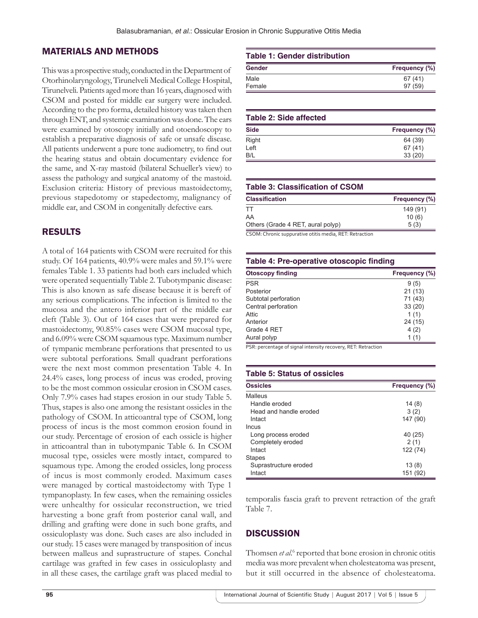# MATERIALS AND METHODS

This was a prospective study, conducted in the Department of Otorhinolaryngology, Tirunelveli Medical College Hospital, Tirunelveli. Patients aged more than 16 years, diagnosed with CSOM and posted for middle ear surgery were included. According to the pro forma, detailed history was taken then through ENT, and systemic examination was done. The ears were examined by otoscopy initially and otoendoscopy to establish a preparative diagnosis of safe or unsafe disease. All patients underwent a pure tone audiometry, to find out the hearing status and obtain documentary evidence for the same, and X-ray mastoid (bilateral Schueller's view) to assess the pathology and surgical anatomy of the mastoid. Exclusion criteria: History of previous mastoidectomy, previous stapedotomy or stapedectomy, malignancy of middle ear, and CSOM in congenitally defective ears.

# RESULTS

A total of 164 patients with CSOM were recruited for this study. Of 164 patients, 40.9% were males and 59.1% were females Table 1. 33 patients had both ears included which were operated sequentially Table 2. Tubotympanic disease: This is also known as safe disease because it is bereft of any serious complications. The infection is limited to the mucosa and the antero inferior part of the middle ear cleft (Table 3). Out of 164 cases that were prepared for mastoidectomy, 90.85% cases were CSOM mucosal type, and 6.09% were CSOM squamous type. Maximum number of tympanic membrane perforations that presented to us were subtotal perforations. Small quadrant perforations were the next most common presentation Table 4. In 24.4% cases, long process of incus was eroded, proving to be the most common ossicular erosion in CSOM cases. Only 7.9% cases had stapes erosion in our study Table 5. Thus, stapes is also one among the resistant ossicles in the pathology of CSOM. In atticoantral type of CSOM, long process of incus is the most common erosion found in our study. Percentage of erosion of each ossicle is higher in atticoantral than in tubotympanic Table 6. In CSOM mucosal type, ossicles were mostly intact, compared to squamous type. Among the eroded ossicles, long process of incus is most commonly eroded. Maximum cases were managed by cortical mastoidectomy with Type 1 tympanoplasty. In few cases, when the remaining ossicles were unhealthy for ossicular reconstruction, we tried harvesting a bone graft from posterior canal wall, and drilling and grafting were done in such bone grafts, and ossiculoplasty was done. Such cases are also included in our study. 15 cases were managed by transposition of incus between malleus and suprastructure of stapes. Conchal cartilage was grafted in few cases in ossiculoplasty and in all these cases, the cartilage graft was placed medial to

## **Table 1: Gender distribution**

| Frequency (%) |
|---------------|
| 67(41)        |
| 97(59)        |
|               |

# **Table 2: Side affected Side Frequency**  $(\%)$ Right 64 (39)  $Left$  67 (41) B/L 33 (20)

## **Table 3: Classification of CSOM**

| <b>Classification</b>             | Frequency (%) |
|-----------------------------------|---------------|
| ТT                                | 149 (91)      |
| AA                                | 10(6)         |
| Others (Grade 4 RET, aural polyp) | 5(3)          |

CSOM: Chronic suppurative otitis media, RET: Retraction

## **Table 4: Pre‑operative otoscopic finding**

| <b>Otoscopy finding</b> | Frequency (%) |
|-------------------------|---------------|
| PSR                     | 9(5)          |
| Posterior               | 21(13)        |
| Subtotal perforation    | 71 (43)       |
| Central perforation     | 33(20)        |
| Attic                   | 1(1)          |
| Anterior                | 24 (15)       |
| Grade 4 RET             | 4(2)          |
| Aural polyp             | 1(1)          |

PSR: percentage of signal intensity recovery, RET: Retraction

### **Table 5: Status of ossicles**

| <b>Ossicles</b>        | Frequency (%) |
|------------------------|---------------|
| Malleus                |               |
| Handle eroded          | 14(8)         |
| Head and handle eroded | 3(2)          |
| Intact                 | 147 (90)      |
| Incus                  |               |
| Long process eroded    | 40 (25)       |
| Completely eroded      | 2(1)          |
| Intact                 | 122 (74)      |
| <b>Stapes</b>          |               |
| Suprastructure eroded  | 13(8)         |
| Intact                 | 151 (92)      |

temporalis fascia graft to prevent retraction of the graft Table 7.

## **DISCUSSION**

Thomsen *et al.*<sup>6</sup> reported that bone erosion in chronic otitis media was more prevalent when cholesteatoma was present, but it still occurred in the absence of cholesteatoma.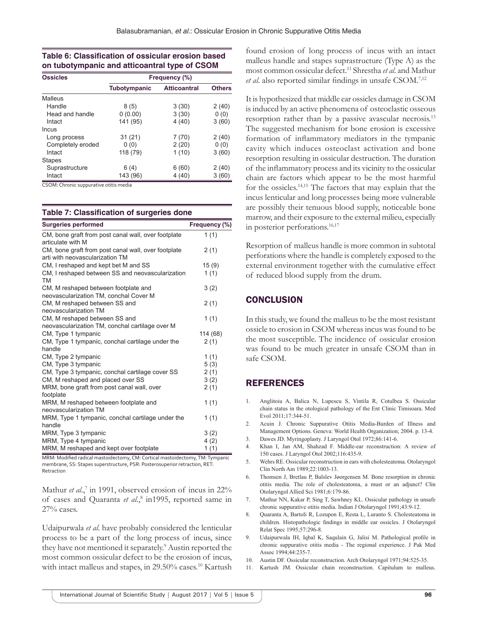## **Table 6: Classification of ossicular erosion based on tubotympanic and atticoantral type of CSOM**

| <b>Ossicles</b>   |              | Frequency (%)       |               |
|-------------------|--------------|---------------------|---------------|
|                   | Tubotympanic | <b>Atticoantral</b> | <b>Others</b> |
| Malleus           |              |                     |               |
| Handle            | 8(5)         | 3(30)               | 2(40)         |
| Head and handle   | 0(0.00)      | 3(30)               | 0(0)          |
| Intact            | 141 (95)     | 4(40)               | 3(60)         |
| Incus             |              |                     |               |
| Long process      | 31(21)       | 7(70)               | 2(40)         |
| Completely eroded | 0(0)         | 2(20)               | 0(0)          |
| Intact            | 118 (79)     | 1(10)               | 3(60)         |
| <b>Stapes</b>     |              |                     |               |
| Suprastructure    | 6(4)         | 6(60)               | 2(40)         |
| Intact            | 143 (96)     | 4(40)               | 3(60)         |

CSOM: Chronic suppurative otitis media

#### **Table 7: Classification of surgeries done**

| <b>Surgeries performed</b>                             | Frequency (%) |
|--------------------------------------------------------|---------------|
| CM, bone graft from post canal wall, over footplate    | 1(1)          |
| articulate with M                                      |               |
| CM, bone graft from post canal wall, over footplate    | 2(1)          |
| arti with neovascularization TM                        |               |
| CM, I reshaped and kept bet M and SS                   | 15(9)         |
| CM, I reshaped between SS and neovascularization<br>TM | 1(1)          |
| CM, M reshaped between footplate and                   | 3(2)          |
| neovascularization TM, conchal Cover M                 |               |
| CM, M reshaped between SS and                          | 2(1)          |
| neovascularization TM                                  |               |
| CM, M reshaped between SS and                          | 1(1)          |
| neovascularization TM, conchal cartilage over M        |               |
| CM, Type 1 tympanic                                    | 114 (68)      |
| CM, Type 1 tympanic, conchal cartilage under the       | 2(1)          |
| handle                                                 |               |
| CM, Type 2 tympanic                                    | 1(1)          |
| CM, Type 3 tympanic                                    | 5(3)          |
| CM, Type 3 tympanic, conchal cartilage cover SS        | 2(1)          |
| CM, M reshaped and placed over SS                      | 3(2)          |
| MRM, bone graft from post canal wall, over             | 2(1)          |
| footplate                                              |               |
| MRM, M reshaped between footplate and                  | 1(1)          |
| neovascularization TM                                  |               |
| MRM, Type 1 tympanic, conchal cartilage under the      | 1(1)          |
| handle                                                 |               |
| MRM, Type 3 tympanic                                   | 3(2)          |
| MRM, Type 4 tympanic                                   | 4(2)          |
| MRM, M reshaped and kept over footplate                | 1(1)          |

MRM: Modified radical mastoidectomy, CM: Cortical mastoidectomy, TM: Tympanic membrane, SS: Stapes superstructure, PSR: Posterosuperior retraction, RET: Retraction

Mathur *et al.*,<sup>7</sup> in 1991, observed erosion of incus in 22% of cases and Quaranta et al.,<sup>8</sup> in1995, reported same in 27% cases.

Udaipurwala *et al*. have probably considered the lenticular process to be a part of the long process of incus, since they have not mentioned it separately.<sup>9</sup> Austin reported the most common ossicular defect to be the erosion of incus, with intact malleus and stapes, in 29.50% cases.<sup>10</sup> Kartush

found erosion of long process of incus with an intact malleus handle and stapes suprastructure (Type A) as the most common ossicular defect.11 Shrestha *et al*. and Mathur *et al*. also reported similar findings in unsafe CSOM.7,12

It is hypothesized that middle ear ossicles damage in CSOM is induced by an active phenomena of osteoclastic osseous resorption rather than by a passive avascular necrosis.<sup>13</sup> The suggested mechanism for bone erosion is excessive formation of inflammatory mediators in the tympanic cavity which induces osteoclast activation and bone resorption resulting in ossicular destruction. The duration of the inflammatory process and its vicinity to the ossicular chain are factors which appear to be the most harmful for the ossicles.14,15 The factors that may explain that the incus lenticular and long processes being more vulnerable are possibly their tenuous blood supply, noticeable bone marrow, and their exposure to the external milieu, especially in posterior perforations.<sup>16,17</sup>

Resorption of malleus handle is more common in subtotal perforations where the handle is completely exposed to the external environment together with the cumulative effect of reduced blood supply from the drum.

## **CONCLUSION**

In this study, we found the malleus to be the most resistant ossicle to erosion in CSOM whereas incus was found to be the most susceptible. The incidence of ossicular erosion was found to be much greater in unsafe CSOM than in safe CSOM.

## **REFERENCES**

- 1. Anglitoiu A, Balica N, Lupescu S, Vintila R, Cotulbea S. Ossicular chain status in the otological pathology of the Ent Clinic Timisoara. Med Evol 2011;17:344-51.
- 2. Acuin J. Chronic Suppurative Otitis Media-Burden of Illness and Management Options. Geneva: World Health Organization; 2004. p. 13-4.
- 3. Dawes JD. Myringoplasty. J Laryngol Otol 1972;86:141-6.
- 4. Khan I, Jan AM, Shahzad F. Middle-ear reconstruction: A review of 150 cases. J Laryngol Otol 2002;116:435-9.
- 5. Wehrs RE. Ossicular reconstruction in ears with cholesteatoma. Otolaryngol Clin North Am 1989;22:1003-13.
- 6. Thomsen J, Bretlau P, Balslev Jøorgensen M. Bone resorption in chronic otitis media. The role of cholesteatoma, a must or an adjunct? Clin Otolaryngol Allied Sci 1981;6:179-86.
- 7. Mathur NN, Kakar P, Sing T, Sawhney KL. Ossicular pathology in unsafe chronic suppurative otitis media. Indian J Otolaryngol 1991;43:9-12.
- 8. Quaranta A, Bartoli R, Lozupon E, Resta L, Luranto S. Cholesteatoma in children. Histopathologic findings in middle ear ossicles. J Otolaryngol Relat Spec 1995;57:296-8.
- 9. Udaipurwala IH, Iqbal K, Saqulain G, Jalisi M. Pathological profile in chronic suppurative otitis media - The regional experience. J Pak Med Assoc 1994;44:235-7.
- 10. Austin DF. Ossicular reconstruction. Arch Otolaryngol 1971;94:525-35.
- 11. Kartush JM. Ossicular chain reconstruction. Capitulum to malleus.